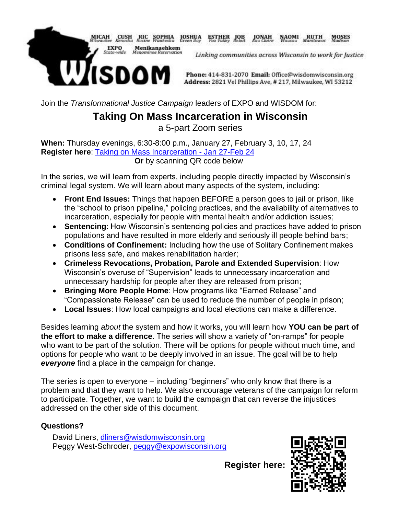

**ESTHER** JOB JONAH NAOMI RUTH MOSES

Linking communities across Wisconsin to work for Justice

Phone: 414-831-2070 Email: Office@wisdomwisconsin.org Address: 2821 Vel Phillips Ave, #217, Milwaukee, WI 53212

Join the *Transformational Justice Campaign* leaders of EXPO and WISDOM for:

## **Taking On Mass Incarceration in Wisconsin** a 5-part Zoom series

**When:** Thursday evenings, 6:30-8:00 p.m., January 27, February 3, 10, 17, 24 **Register here**: Taking on Mass Incarceration - Jan 27-Feb 24 **Or** by scanning QR code below

In the series, we will learn from experts, including people directly impacted by Wisconsin's criminal legal system. We will learn about many aspects of the system, including:

- **Front End Issues:** Things that happen BEFORE a person goes to jail or prison, like the "school to prison pipeline," policing practices, and the availability of alternatives to incarceration, especially for people with mental health and/or addiction issues;
- **Sentencing:** How Wisconsin's sentencing policies and practices have added to prison populations and have resulted in more elderly and seriously ill people behind bars;
- **Conditions of Confinement:** Including how the use of Solitary Confinement makes prisons less safe, and makes rehabilitation harder;
- **Crimeless Revocations, Probation, Parole and Extended Supervision**: How Wisconsin's overuse of "Supervision" leads to unnecessary incarceration and unnecessary hardship for people after they are released from prison;
- **Bringing More People Home**: How programs like "Earned Release" and "Compassionate Release" can be used to reduce the number of people in prison;
- **Local Issues**: How local campaigns and local elections can make a difference.

Besides learning *about* the system and how it works, you will learn how **YOU can be part of the effort to make a difference**. The series will show a variety of "on-ramps" for people who want to be part of the solution. There will be options for people without much time, and options for people who want to be deeply involved in an issue. The goal will be to help *everyone* find a place in the campaign for change.

The series is open to everyone – including "beginners" who only know that there is a problem and that they want to help. We also encourage veterans of the campaign for reform to participate. Together, we want to build the campaign that can reverse the injustices addressed on the other side of this document.

## **Questions?**

David Liners, dliners@wisdomwisconsin.org Peggy West-Schroder, peggy@expowisconsin.org

**Register here:**